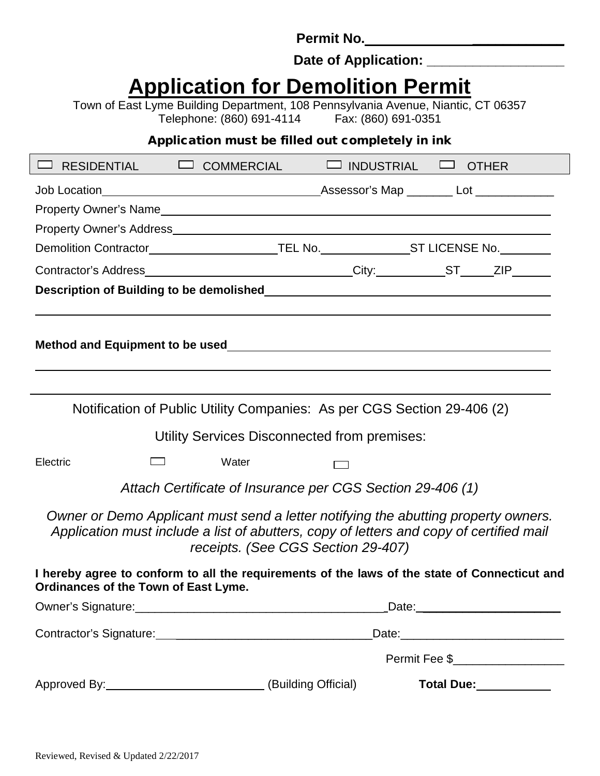**Permit No. \_\_\_\_\_\_\_\_\_\_\_\_**

Date of Application: \_\_\_\_\_\_\_\_\_

# **Application for Demolition Permit**

Town of East Lyme Building Department, 108 Pennsylvania Avenue, Niantic, CT 06357 Telephone: (860) 691-4114

Application must be filled out completely in ink

| RESIDENTIAL DI COMMERCIAL                                                                                                                                                     |                                                            |                                                                         | $\Box$ INDUSTRIAL $\Box$ OTHER |                                                                                                                                                                                                                                        |                                  |
|-------------------------------------------------------------------------------------------------------------------------------------------------------------------------------|------------------------------------------------------------|-------------------------------------------------------------------------|--------------------------------|----------------------------------------------------------------------------------------------------------------------------------------------------------------------------------------------------------------------------------------|----------------------------------|
|                                                                                                                                                                               |                                                            |                                                                         |                                |                                                                                                                                                                                                                                        |                                  |
|                                                                                                                                                                               |                                                            |                                                                         |                                |                                                                                                                                                                                                                                        |                                  |
|                                                                                                                                                                               |                                                            |                                                                         |                                |                                                                                                                                                                                                                                        |                                  |
| Demolition Contractor__________________________TEL No.________________ST LICENSE No._________                                                                                 |                                                            |                                                                         |                                |                                                                                                                                                                                                                                        |                                  |
| Contractor's Address_______________________________City:____________ST_____ZIP_______                                                                                         |                                                            |                                                                         |                                |                                                                                                                                                                                                                                        |                                  |
|                                                                                                                                                                               |                                                            |                                                                         |                                |                                                                                                                                                                                                                                        |                                  |
|                                                                                                                                                                               |                                                            |                                                                         |                                |                                                                                                                                                                                                                                        |                                  |
|                                                                                                                                                                               |                                                            |                                                                         |                                |                                                                                                                                                                                                                                        |                                  |
|                                                                                                                                                                               |                                                            |                                                                         |                                |                                                                                                                                                                                                                                        |                                  |
|                                                                                                                                                                               |                                                            |                                                                         |                                |                                                                                                                                                                                                                                        |                                  |
|                                                                                                                                                                               |                                                            | Notification of Public Utility Companies: As per CGS Section 29-406 (2) |                                |                                                                                                                                                                                                                                        |                                  |
|                                                                                                                                                                               |                                                            | Utility Services Disconnected from premises:                            |                                |                                                                                                                                                                                                                                        |                                  |
| Electric                                                                                                                                                                      |                                                            | Water                                                                   |                                |                                                                                                                                                                                                                                        |                                  |
|                                                                                                                                                                               |                                                            | Attach Certificate of Insurance per CGS Section 29-406 (1)              |                                |                                                                                                                                                                                                                                        |                                  |
| Owner or Demo Applicant must send a letter notifying the abutting property owners.<br>Application must include a list of abutters, copy of letters and copy of certified mail |                                                            | receipts. (See CGS Section 29-407)                                      |                                |                                                                                                                                                                                                                                        |                                  |
| I hereby agree to conform to all the requirements of the laws of the state of Connecticut and<br>Ordinances of the Town of East Lyme.                                         |                                                            |                                                                         |                                |                                                                                                                                                                                                                                        |                                  |
|                                                                                                                                                                               |                                                            |                                                                         |                                |                                                                                                                                                                                                                                        | _Date: _________________________ |
|                                                                                                                                                                               | Contractor's Signature:<br><u> Contractor's Signature:</u> |                                                                         |                                |                                                                                                                                                                                                                                        |                                  |
|                                                                                                                                                                               |                                                            |                                                                         |                                |                                                                                                                                                                                                                                        |                                  |
| Approved By: (Building Official)                                                                                                                                              |                                                            |                                                                         |                                | Total Due:<br><u> Letter and the set of the set of the set of the set of the set of the set of the set of the set of the set of the set of the set of the set of the set of the set of the set of the set of the set of the set of</u> |                                  |

 $\overline{\phantom{a}}$ 

 $\blacksquare$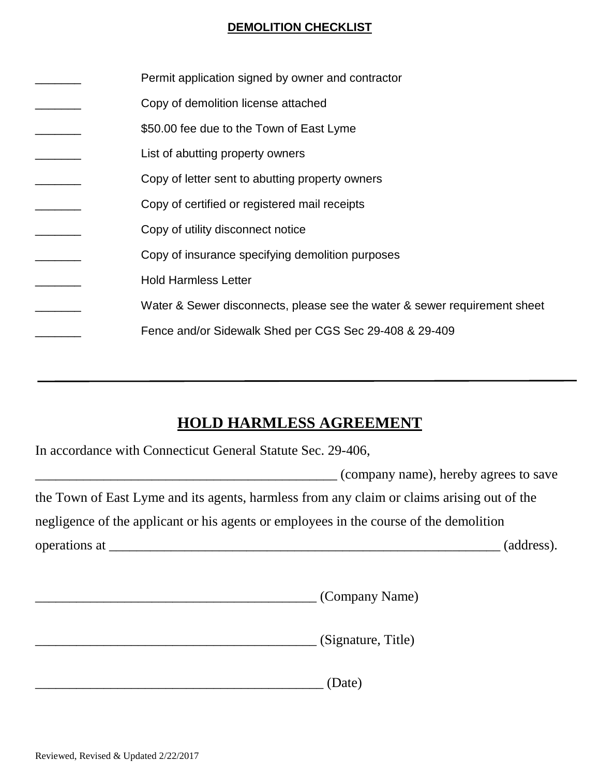# **DEMOLITION CHECKLIST**

| Permit application signed by owner and contractor                         |
|---------------------------------------------------------------------------|
| Copy of demolition license attached                                       |
| \$50.00 fee due to the Town of East Lyme                                  |
| List of abutting property owners                                          |
| Copy of letter sent to abutting property owners                           |
| Copy of certified or registered mail receipts                             |
| Copy of utility disconnect notice                                         |
| Copy of insurance specifying demolition purposes                          |
| <b>Hold Harmless Letter</b>                                               |
| Water & Sewer disconnects, please see the water & sewer requirement sheet |
| Fence and/or Sidewalk Shed per CGS Sec 29-408 & 29-409                    |

# **HOLD HARMLESS AGREEMENT**

| In accordance with Connecticut General Statute Sec. 29-406,                                |                                       |  |  |  |  |
|--------------------------------------------------------------------------------------------|---------------------------------------|--|--|--|--|
|                                                                                            | (company name), hereby agrees to save |  |  |  |  |
| the Town of East Lyme and its agents, harmless from any claim or claims arising out of the |                                       |  |  |  |  |
| negligence of the applicant or his agents or employees in the course of the demolition     |                                       |  |  |  |  |
|                                                                                            | (address).                            |  |  |  |  |

|  | .ompany<br>$-$ |
|--|----------------|
|--|----------------|

\_\_\_\_\_\_\_\_\_\_\_\_\_\_\_\_\_\_\_\_\_\_\_\_\_\_\_\_\_\_\_\_\_\_\_\_\_\_\_\_\_ (Signature, Title)

 $(Date)$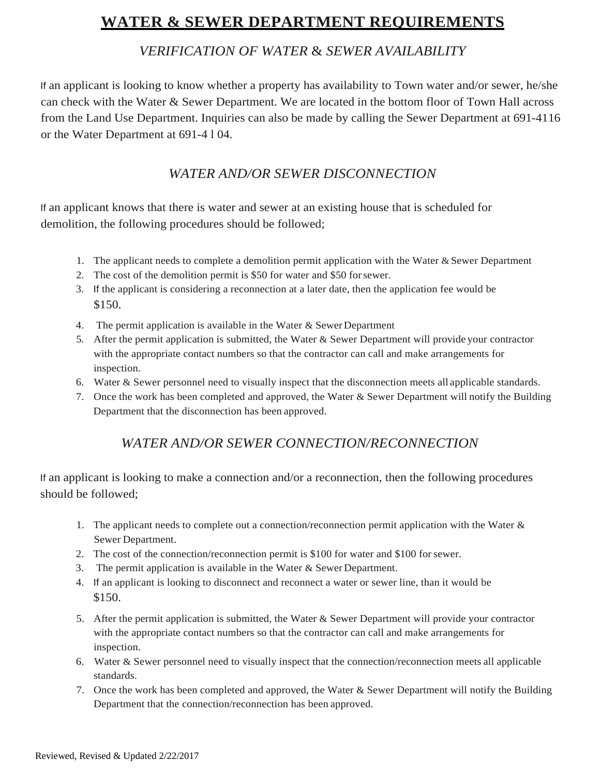## **WATER & SEWER DEPARTMENT REQUIREMENTS**

## *VERIFICATION OF WATER* & *SEWER AVAILABILITY*

If an applicant is looking to know whether a property has availability to Town water and/or sewer, he/she can check with the Water & Sewer Department. We are located in the bottom floor of Town Hall across from the Land Use Department. Inquiries can also be made by calling the Sewer Department at 691-4116 or the Water Department at 691-4 l 04.

## *WATER AND/OR SEWER DISCONNECTION*

If an applicant knows that there is water and sewer at an existing house that is scheduled for demolition, the following procedures should be followed;

- 1. The applicant needs to complete a demolition permit application with the Water & Sewer Department
- 2. The cost of the demolition permit is \$50 for water and \$50 forsewer.
- 3. If the applicant is considering a reconnection at a later date, then the application fee would be \$150.
- 4. The permit application is available in the Water  $&$  Sewer Department
- 5. After the permit application is submitted, the Water & Sewer Department will provide your contractor with the appropriate contact numbers so that the contractor can call and make arrangements for inspection.
- 6. Water & Sewer personnel need to visually inspect that the disconnection meets all applicable standards.
- 7. Once the work has been completed and approved, the Water & Sewer Department will notify the Building Department that the disconnection has been approved.

## *WATER AND/OR SEWER CONNECTION/RECONNECTION*

If an applicant is looking to make a connection and/or a reconnection, then the following procedures should be followed;

- 1. The applicant needs to complete out a connection/reconnection permit application with the Water & Sewer Department.
- 2. The cost of the connection/reconnection permit is \$100 for water and \$100 forsewer.
- 3. The permit application is available in the Water & Sewer Department.
- 4. If an applicant is looking to disconnect and reconnect a water or sewer line, than it would be \$150.
- 5. After the permit application is submitted, the Water & Sewer Department will provide your contractor with the appropriate contact numbers so that the contractor can call and make arrangements for inspection.
- 6. Water & Sewer personnel need to visually inspect that the connection/reconnection meets all applicable standards.
- 7. Once the work has been completed and approved, the Water & Sewer Department will notify the Building Department that the connection/reconnection has been approved.